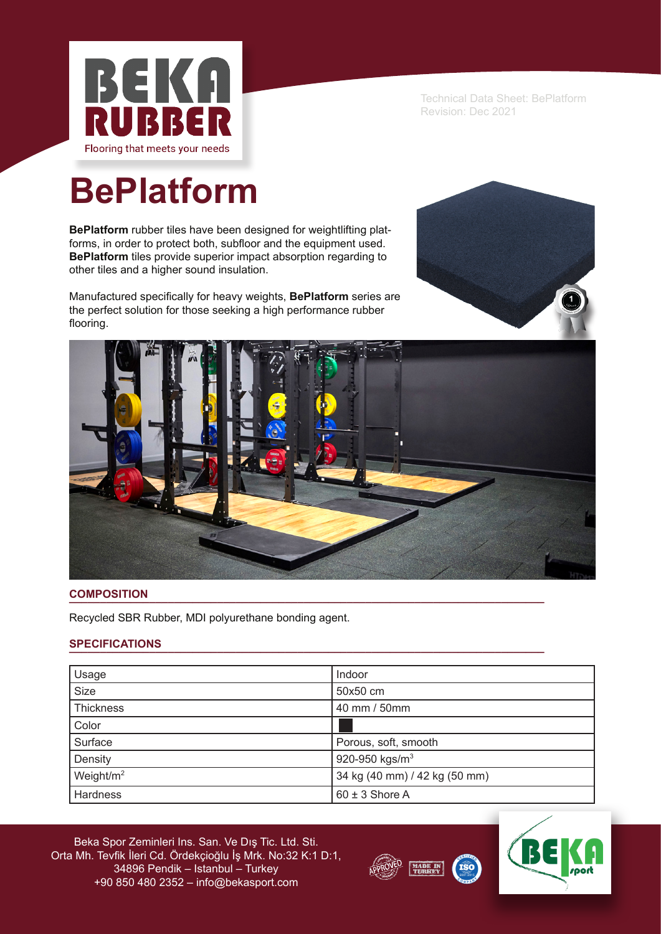

Technical Data Sheet: BePlatform Revision: Dec 2021

# **BePlatform**

**BePlatform** rubber tiles have been designed for weightlifting platforms, in order to protect both, subfloor and the equipment used. **BePlatform** tiles provide superior impact absorption regarding to other tiles and a higher sound insulation.

Manufactured specifically for heavy weights, **BePlatform** series are the perfect solution for those seeking a high performance rubber flooring.





## **COMPOSITION \_\_\_\_\_\_\_\_\_\_\_\_\_\_\_\_\_\_\_\_\_\_\_\_\_\_\_\_\_\_\_\_\_\_\_\_\_\_\_\_\_\_\_\_\_\_\_\_\_\_\_\_\_\_\_\_\_\_\_\_\_\_\_\_\_\_\_\_\_\_\_\_\_\_\_\_\_**

Recycled SBR Rubber, MDI polyurethane bonding agent.

## $SPECIFICATIONS$

| Usage           | Indoor                        |
|-----------------|-------------------------------|
| <b>Size</b>     | 50x50 cm                      |
| Thickness       | 40 mm / 50mm                  |
| Color           |                               |
| Surface         | Porous, soft, smooth          |
| Density         | 920-950 kgs/m <sup>3</sup>    |
| Weight/ $m2$    | 34 kg (40 mm) / 42 kg (50 mm) |
| <b>Hardness</b> | $60 \pm 3$ Shore A            |

Beka Spor Zeminleri Ins. San. Ve Dış Tic. Ltd. Sti. Orta Mh. Tevfik İleri Cd. Ördekçioğlu İş Mrk. No:32 K:1 D:1, 34896 Pendik – Istanbul – Turkey +90 850 480 2352 – info@bekasport.com



**ISO**